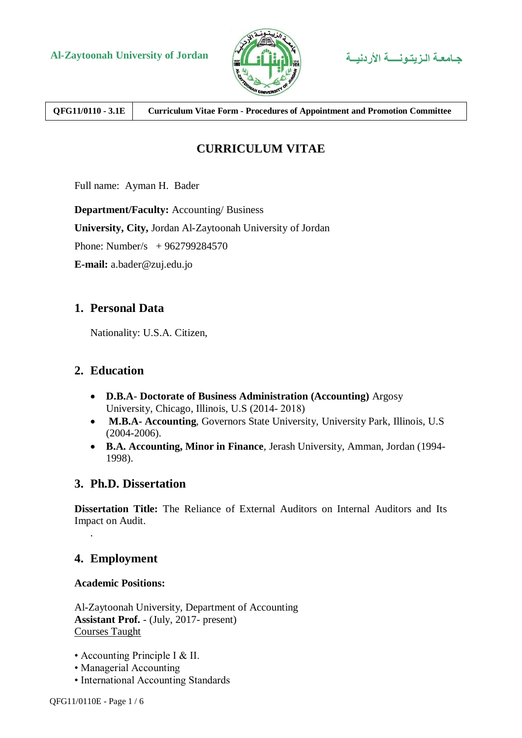



**QFG11/0110 - 3.1E Curriculum Vitae Form - Procedures of Appointment and Promotion Committee**

# **CURRICULUM VITAE**

Full name: Ayman H. Bader

**Department/Faculty:** Accounting/ Business **University, City,** Jordan Al-Zaytoonah University of Jordan

Phone: Number/s + 962799284570

**E-mail:** a.bader@zuj.edu.jo

# **1. Personal Data**

Nationality: U.S.A. Citizen,

# **2. Education**

- **D.B.A Doctorate of Business Administration (Accounting)** Argosy University, Chicago, Illinois, U.S (2014-2018)
- **M.B.A- Accounting**, Governors State University, University Park, Illinois, U.S (2004-2006).
- **B.A. Accounting, Minor in Finance**, Jerash University, Amman, Jordan (1994- 1998).

# **3. Ph.D. Dissertation**

**Dissertation Title:** The Reliance of External Auditors on Internal Auditors and Its Impact on Audit.

# **4. Employment**

.

**Academic Positions:**

Al-Zaytoonah University, Department of Accounting **Assistant Prof.** - (July, 2017- present) Courses Taught

- Accounting Principle I & II.
- Managerial Accounting
- International Accounting Standards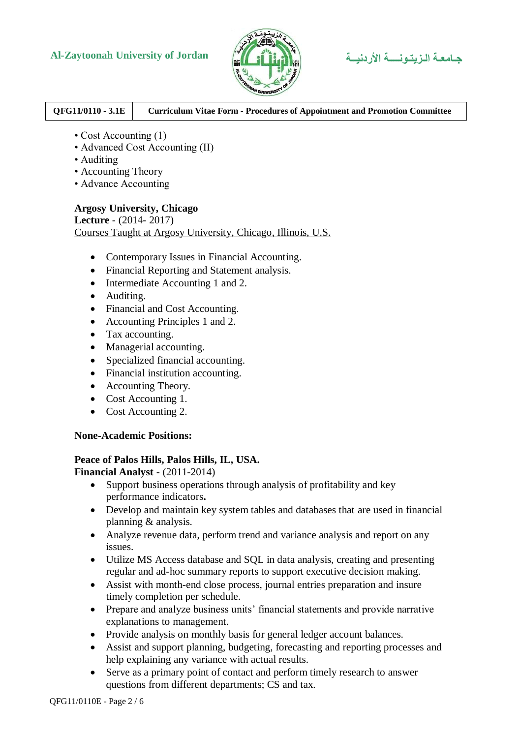

### **QFG11/0110 - 3.1E Curriculum Vitae Form - Procedures of Appointment and Promotion Committee**

- Cost Accounting (1)
- Advanced Cost Accounting (II)
- Auditing
- Accounting Theory
- Advance Accounting

#### **Argosy University, Chicago**

**Lecture** - (2014- 2017) Courses Taught at Argosy University, Chicago, Illinois, U.S.

- Contemporary Issues in Financial Accounting.
- Financial Reporting and Statement analysis.
- Intermediate Accounting 1 and 2.
- Auditing.
- Financial and Cost Accounting.
- Accounting Principles 1 and 2.
- Tax accounting.
- Managerial accounting.
- Specialized financial accounting.
- Financial institution accounting.
- Accounting Theory.
- Cost Accounting 1.
- Cost Accounting 2.

#### **None-Academic Positions:**

### **Peace of Palos Hills, Palos Hills, IL, USA.**

**Financial Analyst -** (2011-2014)

- Support business operations through analysis of profitability and key performance indicators**.**
- Develop and maintain key system tables and databases that are used in financial planning & analysis.
- Analyze revenue data, perform trend and variance analysis and report on any issues.
- Utilize MS Access database and SQL in data analysis, creating and presenting regular and ad-hoc summary reports to support executive decision making.
- Assist with month-end close process, journal entries preparation and insure timely completion per schedule.
- Prepare and analyze business units' financial statements and provide narrative explanations to management.
- Provide analysis on monthly basis for general ledger account balances.
- Assist and support planning, budgeting, forecasting and reporting processes and help explaining any variance with actual results.
- Serve as a primary point of contact and perform timely research to answer questions from different departments; CS and tax.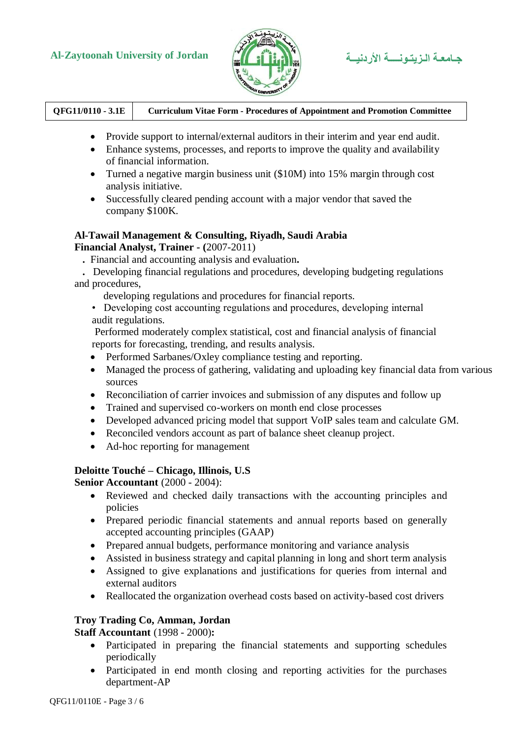

| QFG11/0110 - 3.1E | <b>Curriculum Vitae Form - Procedures of Appointment and Promotion Committee</b> |
|-------------------|----------------------------------------------------------------------------------|
|-------------------|----------------------------------------------------------------------------------|

- Provide support to internal/external auditors in their interim and year end audit.
- Enhance systems, processes, and reports to improve the quality and availability of financial information.
- Turned a negative margin business unit (\$10M) into 15% margin through cost analysis initiative.
- Successfully cleared pending account with a major vendor that saved the company \$100K.

# **Al-Tawail Management & Consulting, Riyadh, Saudi Arabia**

**Financial Analyst, Trainer - (**2007-2011)

- **.** Financial and accounting analysis and evaluation**.**
- **.** Developing financial regulations and procedures, developing budgeting regulations and procedures,
	- developing regulations and procedures for financial reports.
	- Developing cost accounting regulations and procedures, developing internal audit regulations.

Performed moderately complex statistical, cost and financial analysis of financial reports for forecasting, trending, and results analysis.

- Performed Sarbanes/Oxley compliance testing and reporting.
- Managed the process of gathering, validating and uploading key financial data from various sources
- Reconciliation of carrier invoices and submission of any disputes and follow up
- Trained and supervised co-workers on month end close processes
- Developed advanced pricing model that support VoIP sales team and calculate GM.
- Reconciled vendors account as part of balance sheet cleanup project.
- Ad-hoc reporting for management

#### **Deloitte Touché – Chicago, Illinois, U.S**

**Senior Accountant** (2000 - 2004):

- Reviewed and checked daily transactions with the accounting principles and policies
- Prepared periodic financial statements and annual reports based on generally accepted accounting principles (GAAP)
- Prepared annual budgets, performance monitoring and variance analysis
- Assisted in business strategy and capital planning in long and short term analysis
- Assigned to give explanations and justifications for queries from internal and external auditors
- Reallocated the organization overhead costs based on activity-based cost drivers

#### **Troy Trading Co, Amman, Jordan**

**Staff Accountant** (1998 - 2000)**:**

- Participated in preparing the financial statements and supporting schedules periodically
- Participated in end month closing and reporting activities for the purchases department-AP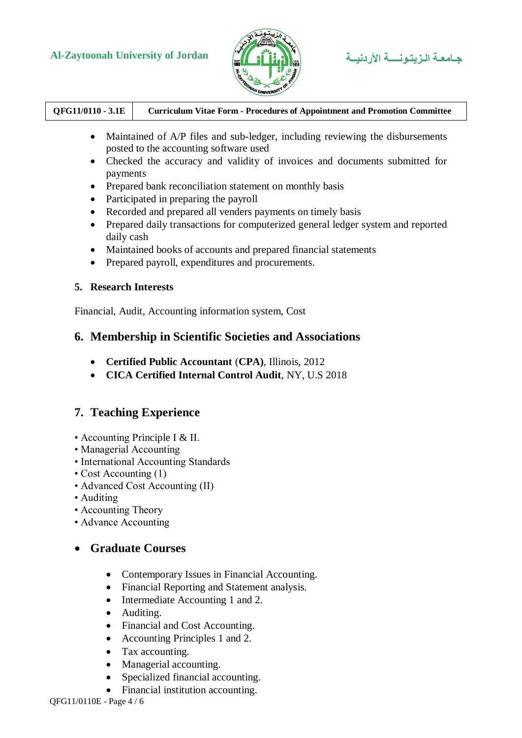

| $QFG11/0110 - 3.1E$ | <b>Curriculum Vitae Form - Procedures of Appointment and Promotion Committee</b> |
|---------------------|----------------------------------------------------------------------------------|
|                     |                                                                                  |

- Maintained of A/P files and sub-ledger, including reviewing the disbursements posted to the accounting software used
- Checked the accuracy and validity of invoices and documents submitted for payments
- Prepared bank reconciliation statement on monthly basis
- Participated in preparing the payroll
- Recorded and prepared all venders payments on timely basis
- Prepared daily transactions for computerized general ledger system and reported daily cash
- Maintained books of accounts and prepared financial statements
- Prepared payroll, expenditures and procurements.

#### **5. Research Interests**

Financial, Audit, Accounting information system, Cost

## **6. Membership in Scientific Societies and Associations**

- **Certified Public Accountant** (**CPA)**, Illinois, 2012
- **CICA Certified Internal Control Audit**, NY, U.S 2018

# **7. Teaching Experience**

- Accounting Principle I & II.
- Managerial Accounting
- International Accounting Standards
- Cost Accounting (1)
- Advanced Cost Accounting (II)
- Auditing
- Accounting Theory
- Advance Accounting

# **Graduate Courses**

- Contemporary Issues in Financial Accounting.
- Financial Reporting and Statement analysis.
- Intermediate Accounting 1 and 2.
- Auditing.
- Financial and Cost Accounting.
- Accounting Principles 1 and 2.
- Tax accounting.
- Managerial accounting.
- Specialized financial accounting.
- Financial institution accounting.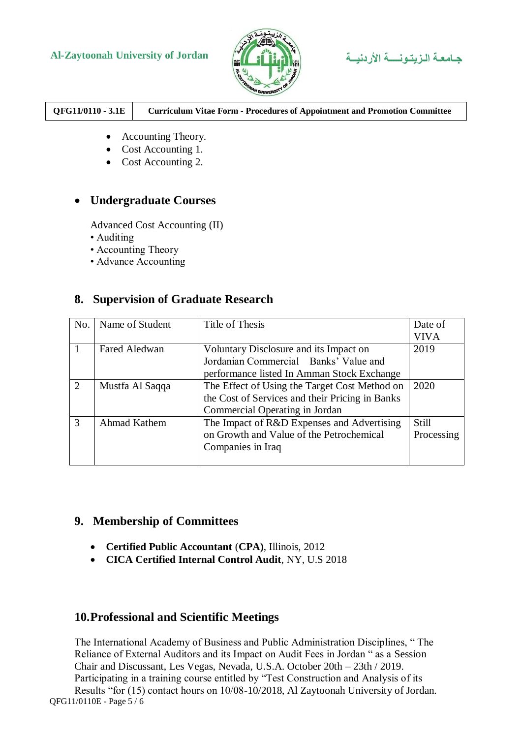

| QFG11/0110 - 3.1E | <b>Curriculum Vitae Form - Procedures of Appointment and Promotion Committee</b> |
|-------------------|----------------------------------------------------------------------------------|
|-------------------|----------------------------------------------------------------------------------|

- Accounting Theory.
- Cost Accounting 1.
- Cost Accounting 2.

## **Undergraduate Courses**

Advanced Cost Accounting (II)

- Auditing
- Accounting Theory
- Advance Accounting

## **8. Supervision of Graduate Research**

| No.            | Name of Student      | Title of Thesis                                 | Date of     |
|----------------|----------------------|-------------------------------------------------|-------------|
|                |                      |                                                 | <b>VIVA</b> |
|                | <b>Fared Aledwan</b> | Voluntary Disclosure and its Impact on          | 2019        |
|                |                      | Jordanian Commercial Banks' Value and           |             |
|                |                      | performance listed In Amman Stock Exchange      |             |
| $\overline{2}$ | Mustfa Al Saqqa      | The Effect of Using the Target Cost Method on   | 2020        |
|                |                      | the Cost of Services and their Pricing in Banks |             |
|                |                      | Commercial Operating in Jordan                  |             |
| 3              | Ahmad Kathem         | The Impact of R&D Expenses and Advertising      | Still       |
|                |                      | on Growth and Value of the Petrochemical        | Processing  |
|                |                      | Companies in Iraq                               |             |
|                |                      |                                                 |             |

## **9. Membership of Committees**

- **Certified Public Accountant** (**CPA)**, Illinois, 2012
- **CICA Certified Internal Control Audit**, NY, U.S 2018

# **10.Professional and Scientific Meetings**

QFG11/0110E - Page 5 / 6 The International Academy of Business and Public Administration Disciplines, " The Reliance of External Auditors and its Impact on Audit Fees in Jordan " as a Session Chair and Discussant, Les Vegas, Nevada, U.S.A. October 20th – 23th / 2019. Participating in a training course entitled by "Test Construction and Analysis of its Results "for (15) contact hours on 10/08-10/2018, Al Zaytoonah University of Jordan.